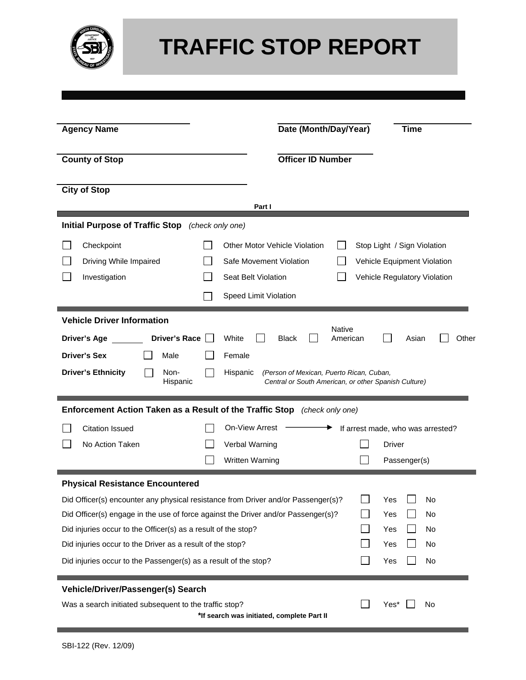

## **TRAFFIC STOP REPORT**

| <b>Agency Name</b>                                                                |                                                     | Date (Month/Day/Year)                                                                                        | <b>Time</b>                 |                                   |       |  |  |  |  |
|-----------------------------------------------------------------------------------|-----------------------------------------------------|--------------------------------------------------------------------------------------------------------------|-----------------------------|-----------------------------------|-------|--|--|--|--|
| <b>County of Stop</b>                                                             | <b>Officer ID Number</b>                            |                                                                                                              |                             |                                   |       |  |  |  |  |
| <b>City of Stop</b>                                                               |                                                     |                                                                                                              |                             |                                   |       |  |  |  |  |
|                                                                                   |                                                     | Part I                                                                                                       |                             |                                   |       |  |  |  |  |
| <b>Initial Purpose of Traffic Stop</b>                                            |                                                     | (check only one)                                                                                             |                             |                                   |       |  |  |  |  |
| Checkpoint                                                                        |                                                     | <b>Other Motor Vehicle Violation</b>                                                                         |                             | Stop Light / Sign Violation       |       |  |  |  |  |
| Driving While Impaired                                                            |                                                     | Safe Movement Violation                                                                                      | Vehicle Equipment Violation |                                   |       |  |  |  |  |
| Investigation                                                                     | Seat Belt Violation<br>Vehicle Regulatory Violation |                                                                                                              |                             |                                   |       |  |  |  |  |
|                                                                                   |                                                     | Speed Limit Violation                                                                                        |                             |                                   |       |  |  |  |  |
| <b>Vehicle Driver Information</b>                                                 |                                                     |                                                                                                              |                             |                                   |       |  |  |  |  |
| <b>Driver's Race</b><br>Driver's Age                                              |                                                     | Native<br>White<br><b>Black</b>                                                                              | American                    | Asian                             | Other |  |  |  |  |
| <b>Driver's Sex</b><br>Male                                                       |                                                     | Female                                                                                                       |                             |                                   |       |  |  |  |  |
| <b>Driver's Ethnicity</b><br>Non-<br>Hispanic                                     |                                                     | Hispanic<br>(Person of Mexican, Puerto Rican, Cuban,<br>Central or South American, or other Spanish Culture) |                             |                                   |       |  |  |  |  |
| Enforcement Action Taken as a Result of the Traffic Stop (check only one)         |                                                     |                                                                                                              |                             |                                   |       |  |  |  |  |
| <b>Citation Issued</b>                                                            |                                                     | <b>On-View Arrest</b>                                                                                        |                             | If arrest made, who was arrested? |       |  |  |  |  |
| No Action Taken                                                                   |                                                     | Verbal Warning                                                                                               |                             | Driver                            |       |  |  |  |  |
|                                                                                   |                                                     | Written Warning                                                                                              |                             | Passenger(s)                      |       |  |  |  |  |
| <b>Physical Resistance Encountered</b>                                            |                                                     |                                                                                                              |                             |                                   |       |  |  |  |  |
| Did Officer(s) encounter any physical resistance from Driver and/or Passenger(s)? |                                                     |                                                                                                              |                             | Yes<br>No                         |       |  |  |  |  |
| Did Officer(s) engage in the use of force against the Driver and/or Passenger(s)? |                                                     | No<br>Yes                                                                                                    |                             |                                   |       |  |  |  |  |
| Did injuries occur to the Officer(s) as a result of the stop?                     |                                                     | Yes<br>No                                                                                                    |                             |                                   |       |  |  |  |  |
| Did injuries occur to the Driver as a result of the stop?                         |                                                     | Yes<br>No                                                                                                    |                             |                                   |       |  |  |  |  |
| Did injuries occur to the Passenger(s) as a result of the stop?                   |                                                     | No<br>Yes                                                                                                    |                             |                                   |       |  |  |  |  |
| Vehicle/Driver/Passenger(s) Search                                                |                                                     |                                                                                                              |                             |                                   |       |  |  |  |  |
| Was a search initiated subsequent to the traffic stop?                            |                                                     | *If search was initiated, complete Part II                                                                   |                             | Yes*<br>No                        |       |  |  |  |  |